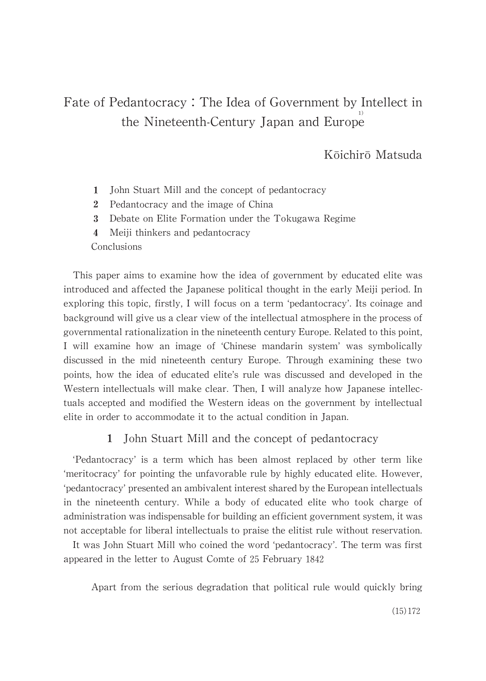# Kōichirō Matsuda

- $\mathbf{1}$ John Stuart Mill and the concept of pedantocracy
- 2 Pedantocracy and the image of China
- 3 Debate on Elite Formation under the Tokugawa Regime
- $\overline{4}$ Meiji thinkers and pedantocracy

Conclusions

This paper aims to examine how the idea of government by educated elite was introduced and affected the Japanese political thought in the early Meiji period. In exploring this topic, firstly, I will focus on a term 'pedantocracy'. Its coinage and background will give us a clear view of the intellectual atmosphere in the process of governmental rationalization in the nineteenth century Europe. Related to this point, I will examine how an image of 'Chinese mandarin system' was symbolically discussed in the mid nineteenth century Europe. Through examining these two points, how the idea of educated elite's rule was discussed and developed in the Western intellectuals will make clear. Then, I will analyze how Japanese intellectuals accepted and modified the Western ideas on the government by intellectual elite in order to accommodate it to the actual condition in Japan.

# 1 John Stuart Mill and the concept of pedantocracy

'Pedantocracy' is a term which has been almost replaced by other term like 'meritocracy' for pointing the unfavorable rule by highly educated elite. However, 'pedantocracy' presented an ambivalent interest shared by the European intellectuals in the nineteenth century. While a body of educated elite who took charge of administration was indispensable for building an efficient government system, it was not acceptable for liberal intellectuals to praise the elitist rule without reservation.

It was John Stuart Mill who coined the word 'pedantocracy'. The term was first appeared in the letter to August Comte of 25 February 1842

Apart from the serious degradation that political rule would quickly bring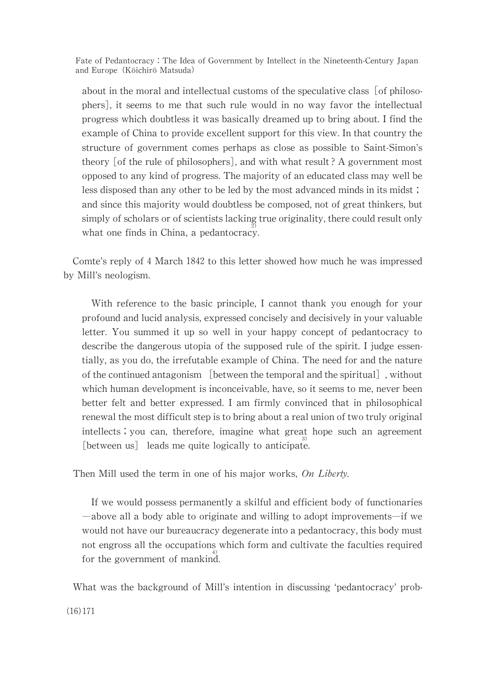about in the moral and intellectual customs of the speculative class  $\lceil$  of philosophers], it seems to me that such rule would in no way favor the intellectual progress which doubtless it was basically dreamed up to bring about. I find the example of China to provide excellent support for this view. In that country the structure of government comes perhaps as close as possible to Saint-Simon's theory  $\lceil$  of the rule of philosophers $\rceil$ , and with what result ? A government most opposed to any kind of progress. The majority of an educated class may well be less disposed than any other to be led by the most advanced minds in its midst; and since this majority would doubtless be composed, not of great thinkers, but simply of scholars or of scientists lacking true originality, there could result only what one finds in China, a pedantocracy.

Comte's reply of 4 March 1842 to this letter showed how much he was impressed by Mill's neologism.

With reference to the basic principle, I cannot thank you enough for your profound and lucid analysis, expressed concisely and decisively in your valuable letter. You summed it up so well in your happy concept of pedantocracy to describe the dangerous utopia of the supposed rule of the spirit. I judge essentially, as you do, the irrefutable example of China. The need for and the nature of the continued antagonism [between the temporal and the spiritual], without which human development is inconceivable, have, so it seems to me, never been better felt and better expressed. I am firmly convinced that in philosophical renewal the most difficult step is to bring about a real union of two truly original intellects; you can, therefore, imagine what great hope such an agreement  $[$  between us  $]$  leads me quite logically to anticipate.

Then Millused the term in one of his major works, On Liberty.

If we would possess permanently a skilful and efficient body of functionaries ―aboveallabodyabletooriginateandwillingtoadoptimprovements―ifwe would not have our bureaucracy degenerate into a pedantocracy, this body must not engross all the occupations which form and cultivate the faculties required for the government of mankind.

What was the background of Mill's intention in discussing 'pedantocracy' prob-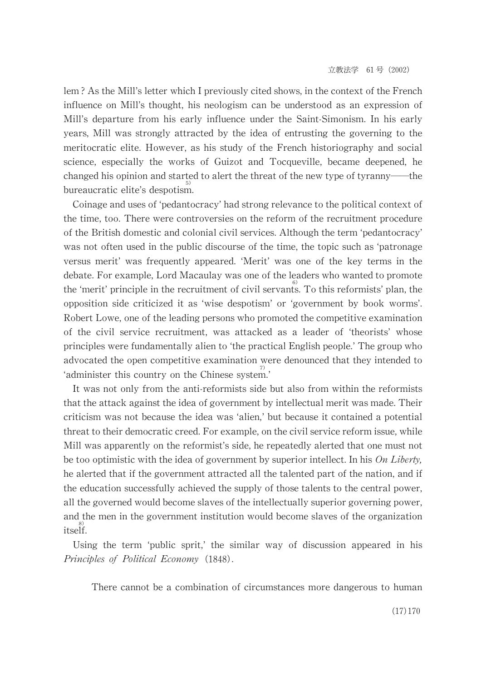lem? As the Mill's letter which I previously cited shows, in the context of the French influence on Mill's thought, his neologism can be understood as an expression of Mill's departure from his early influence under the Saint-Simonism. In his early years, Mill was strongly attracted by the idea of entrusting the governing to the meritocratic elite. However, as his study of the French historiography and social science, especially the works of Guizot and Tocqueville, became deepened, he changed his opinion and started to alert the threat of the new type of tyranny—the bureaucratic elite's despotism.

Coinage and uses of 'pedantocracy' had strong relevance to the political context of the time, too. There were controversies on the reform of the recruitment procedure of the British domestic and colonial civil services. Although the term 'pedantocracy' was not often used in the public discourse of the time, the topic such as 'patronage versus merit' was frequently appeared. 'Merit' was one of the key terms in the debate. For example, Lord Macaulay was one of the leaders who wanted to promote the 'merit' principle in the recruitment of civil servants. To this reformists' plan, the opposition side criticized it as 'wise despotism' or 'government by book worms'. Robert Lowe, one of the leading persons who promoted the competitive examination of the civil service recruitment, was attacked as a leader of 'theorists' whose principles were fundamentally alien to 'the practical English people.' The group who advocated the open competitive examination were denounced that they intended to 'administer this country on the Chinese system.'

It was not only from the anti-reformists side but also from within the reformists that the attack against the idea of government by intellectual merit was made. Their criticism was not because the idea was 'alien,' but because it contained a potential threat to their democratic creed. For example, on the civil service reform issue, while Mill was apparently on the reformist's side, he repeatedly alerted that one must not be too optimistic with the idea of government by superior intellect. In his On Liberty, he alerted that if the government attracted all the talented part of the nation, and if the education successfully achieved the supply of those talents to the central power, all the governed would become slaves of the intellectually superior governing power, and the men in the government institution would become slaves of the organization itself.

Using the term 'public sprit,' the similar way of discussion appeared in his Principles of Political Economy (1848).

There cannot be a combination of circumstances more dangerous to human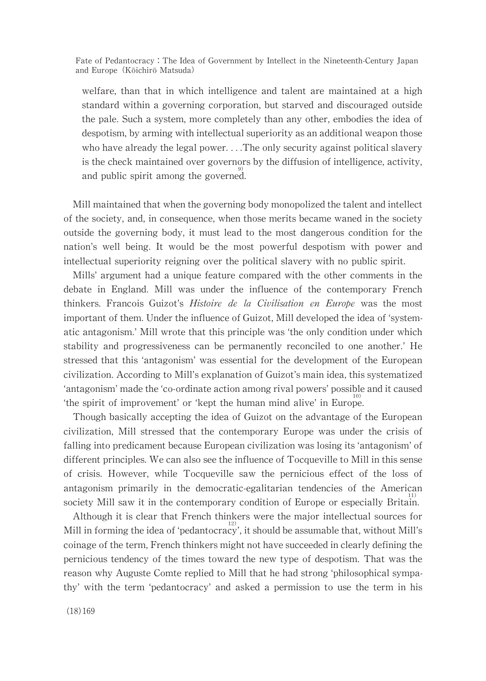welfare, than that in which intelligence and talent are maintained at a high standard within a governing corporation, but starved and discouraged outside the pale. Such a system, more completely than any other, embodies the idea of despotism, by arming with intellectual superiority as an additional weapon those who have already the legal power....The only security against political slavery is the check maintained over governors by the diffusion of intelligence, activity, and public spirit among the governed.

Mill maintained that when the governing body monopolized the talent and intellect of the society, and, in consequence, when those merits became waned in the society outside the governing body, it must lead to the most dangerous condition for the nation's well being. It would be the most powerful despotism with power and intellectual superiority reigning over the political slavery with no public spirit.

Mills' argument had a unique feature compared with the other comments in the debate in England. Mill was under the influence of the contemporary French thinkers. Francois Guizot's Histoire de la Civilisation en Europe was the most important of them. Under the influence of Guizot, Mill developed the idea of 'systematic antagonism.' Mill wrote that this principle was 'the only condition under which stability and progressiveness can be permanently reconciled to one another.' He stressed that this 'antagonism' was essential for the development of the European civilization. According to Mill's explanation of Guizot's main idea, this systematized 'antagonism' made the 'co-ordinate action among rival powers' possible and it caused 'the spirit of improvement' or 'kept the human mind alive' in Europe.

Though basically accepting the idea of Guizot on the advantage of the European civilization, Mill stressed that the contemporary Europe was under the crisis of falling into predicament because European civilization was losing its 'antagonism' of different principles. We can also see the influence of Tocqueville to Mill in this sense of crisis. However, while Tocqueville saw the pernicious effect of the loss of antagonism primarily in the democratic-egalitarian tendencies of the American society Mill saw it in the contemporary condition of Europe or especially Britain.

Although it is clear that French thinkers were the major intellectual sources for Mill in forming the idea of 'pedantocracy', it should be assumable that, without Mill's coinage of the term, French thinkers might not have succeeded in clearly defining the pernicious tendency of the times toward the new type of despotism. That was the reason why Auguste Comte replied to Mill that he had strong 'philosophical sympathy' with the term 'pedantocracy' and asked a permission to use the term in his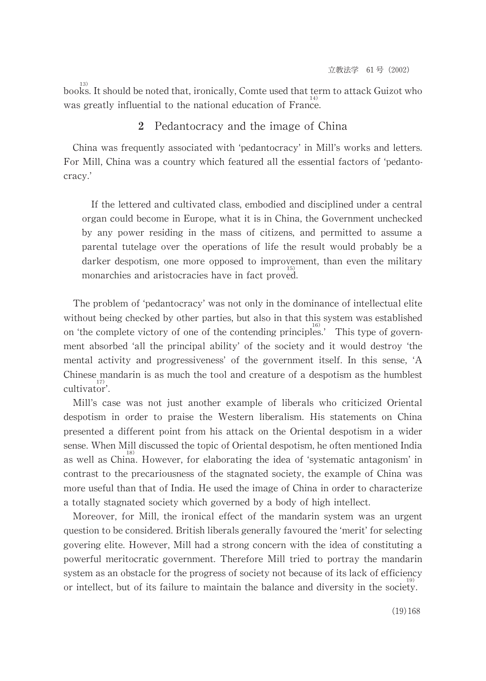<sup>13)</sup> books. It should be noted that, ironically, Comte used that term to attack Guizot who was greatly influential to the national education of France.

#### 2 Pedantocracy and the image of China

China was frequently associated with 'pedantocracy' in Mill's works and letters. For Mill, China was a country which featured all the essential factors of 'pedantocracy.'

If the lettered and cultivated class, embodied and disciplined under a central organ could become in Europe, what it is in China, the Government unchecked by any power residing in the mass of citizens, and permitted to assume a parental tutelage over the operations of life the result would probably be a darker despotism, one more opposed to improvement, than even the military monarchies and aristocracies have in fact proved.

The problem of 'pedantocracy' was not only in the dominance of intellectual elite without being checked by other parties, but also in that this system was established on 'the complete victory of one of the contending principles.' This type of government absorbed 'all the principal ability' of the society and it would destroy 'the mental activity and progressiveness' of the government itself. In this sense, 'A Chinese mandarin is as much the tool and creature of a despotism as the humblest cultivator'.

Mill's case was not just another example of liberals who criticized Oriental despotism in order to praise the Western liberalism. His statements on China presented a different point from his attack on the Oriental despotism in a wider sense. When Mill discussed the topic of Oriental despotism, he often mentioned India as well as China. However, for elaborating the idea of 'systematic antagonism' in contrast to the precariousness of the stagnated society, the example of China was more useful than that of India. He used the image of China in order to characterize a totally stagnated society which governed by a body of high intellect.

Moreover, for Mill, the ironical effect of the mandarin system was an urgent question to be considered. British liberals generally favoured the 'merit' for selecting govering elite. However, Mill had a strong concern with the idea of constituting a powerful meritocratic government. Therefore Mill tried to portray the mandarin system as an obstacle for the progress of society not because of its lack of efficiency or intellect, but of its failure to maintain the balance and diversity in the society.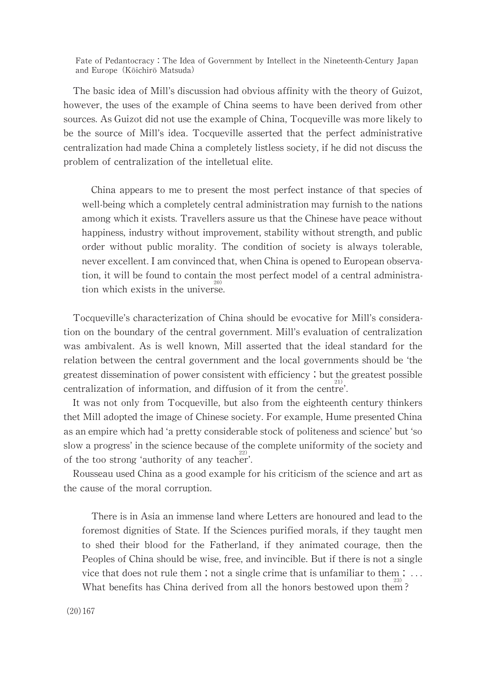The basic idea of Mill's discussion had obvious affinity with the theory of Guizot, however, the uses of the example of China seems to have been derived from other sources. As Guizot did not use the example of China, Tocqueville was more likely to be the source of Mill's idea. Tocqueville asserted that the perfect administrative centralization had made China a completely listless society, if he did not discuss the problem of centralization of the intelletual elite.

China appears to me to present the most perfect instance of that species of well-being which a completely central administration may furnish to the nations among which it exists. Travellers assure us that the Chinese have peace without happiness, industry without improvement, stability without strength, and public order without public morality. The condition of society is always tolerable, never excellent. I am convinced that, when China is opened to European observation, it will be found to contain the most perfect model of a central administration which exists in the universe.

Tocqueville's characterization of China should be evocative for Mill's consideration on the boundary of the central government. Mill's evaluation of centralization was ambivalent. As is well known, Mill asserted that the ideal standard for the relation between the central government and the local governments should be 'the greatest dissemination of power consistent with efficiency; but the greatest possible centralization of information, and diffusion of it from the centre'.

It was not only from Tocqueville, but also from the eighteenth century thinkers thet Mill adopted the image of Chinese society. For example, Hume presented China as an empire which had 'a pretty considerable stock of politeness and science' but 'so slow a progress' in the science because of the complete uniformity of the society and of the too strong 'authority of any teacher'.

Rousseau used China as a good example for his criticism of the science and art as the cause of the moral corruption.

There is in Asia an immense land where Letters are honoured and lead to the foremost dignities of State. If the Sciences purified morals, if they taught men to shed their blood for the Fatherland, if they animated courage, then the Peoples of China should be wise, free, and invincible. But if there is not a single vice that does not rule them; not a single crime that is unfamiliar to them;  $\dots$ What benefits has China derived from all the honors bestowed upon them?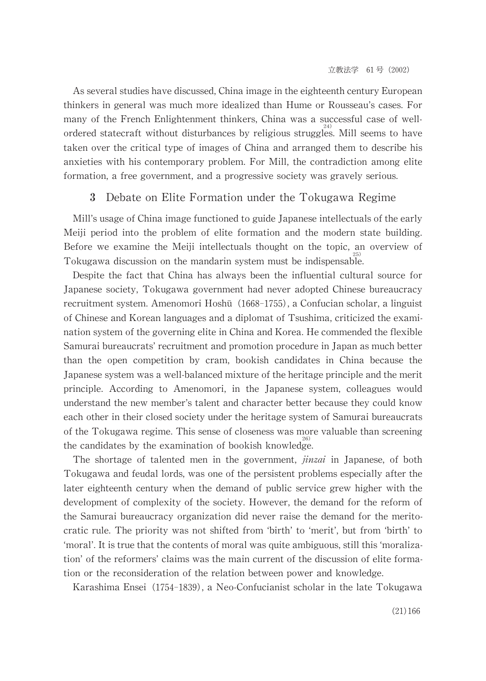As several studies have discussed, China image in the eighteenth century European thinkers in general was much more idealized than Hume or Rousseau's cases. For many of the French Enlightenment thinkers, China was a successful case of wellordered statecraft without disturbances by religious struggles. Mill seems to have taken over the critical type of images of China and arranged them to describe his anxieties with his contemporary problem. For Mill, the contradiction among elite formation, a free government, and a progressive society was gravely serious.

# 3 Debate on Elite Formation under the Tokugawa Regime

Mill's usage of China image functioned to guide Japanese intellectuals of the early Meiji period into the problem of elite formation and the modern state building. Before we examine the Meiji intellectuals thought on the topic, an overview of Tokugawa discussion on the mandarin system must be indispensable.

Despite the fact that China has always been the influential cultural source for Japanese society, Tokugawa government had never adopted Chinese bureaucracy recruitment system. Amenomori Hoshū (1668-1755), a Confucian scholar, a linguist of Chinese and Korean languages and a diplomat of Tsushima, criticized the examination system of the governing elite in China and Korea. He commended the flexible Samurai bureaucrats' recruitment and promotion procedure in Japan as much better than the open competition by cram, bookish candidates in China because the Japanese system was a well-balanced mixture of the heritage principle and the merit principle. According to Amenomori, in the Japanese system, colleagues would understand the new member's talent and character better because they could know each other in their closed society under the heritage system of Samurai bureaucrats of the Tokugawa regime. This sense of closeness was more valuable than screening the candidates by the examination of bookish knowledge.

The shortage of talented men in the government, *jinzai* in Japanese, of both Tokugawa and feudal lords, was one of the persistent problems especially after the later eighteenth century when the demand of public service grew higher with the development of complexity of the society. However, the demand for the reform of the Samurai bureaucracy organization did never raise the demand for the meritocratic rule. The priority was not shifted from 'birth' to 'merit', but from 'birth' to ʻmoral'.Itistruethatthecontentsofmoralwasquiteambiguous,stillthisʻmoralization' of the reformers' claims was the main current of the discussion of elite formation or the reconsideration of the relation between power and knowledge.

Karashima Ensei (1754-1839), a Neo-Confucianist scholar in the late Tokugawa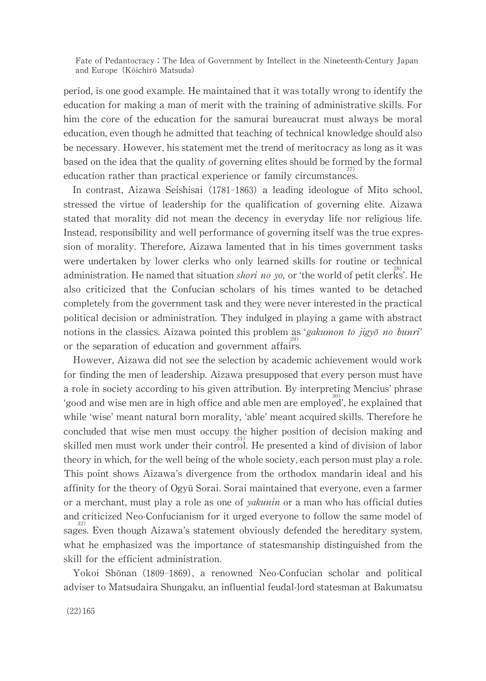period, is one good example. He maintained that it was totally wrong to identify the education for making a man of merit with the training of administrative skills. For him the core of the education for the samurai bureaucrat must always be moral education, even though he admitted that teaching of technical knowledge should also be necessary. However, his statement met the trend of meritocracy as long as it was based on the idea that the quality of governing elites should be formed by the formal education rather than practical experience or family circumstances.

In contrast, Aizawa Seishisai (1781-1863) a leading ideologue of Mito school, stressed the virtue of leadership for the qualification of governing elite. Aizawa stated that morality did not mean the decency in everyday life nor religious life. Instead, responsibility and well performance of governing itself was the true expression of morality. Therefore, Aizawa lamented that in his times government tasks were undertaken by lower clerks who only learned skills for routine or technical administration. He named that situation *shori no yo*, or 'the world of petit clerks'. He also criticized that the Confucian scholars of his times wanted to be detached completely from the government task and they were never interested in the practical political decision or administration. They indulged in playing a game with abstract notions in the classics. Aizawa pointed this problem as 'gakumon to jigyō no bunri' or the separation of education and government affairs.

However, Aizawa did not see the selection by academic achievement would work for finding the men of leadership. Aizawa presupposed that every person must have a role in society according to his given attribution. By interpreting Mencius' phrase ʻgoodandwisemenareinhighofficeandablemenare 30) employed',heexplainedthat while 'wise' meant natural born morality, 'able' meant acquired skills. Therefore he concluded that wise men must occupy the higher position of decision making and skilled men must work under their control. He presented a kind of division of labor theory in which, for the well being of the whole society, each person must play a role. This point shows Aizawa's divergence from the orthodox mandarine ideal and his affinity for the theory of Ogyū Sorai. Sorai maintained that everyone, even a farmer or a merchant, must play a role as one of *yakunin* or a man who has official duties and criticized Neo-Confucianism for it urged everyone to follow the same model of sages. Even though Aizawa's statement obviously defended the hereditary system, what he emphasized was the importance of statesmanship distinguished from the skill for the efficient administration.

Yokoi Shōnan (1809-1869), a renowned Neo-Confucian scholar and political adviser to Matsudaira Shungaku, an influential feudal-lord statesman at Bakumatsu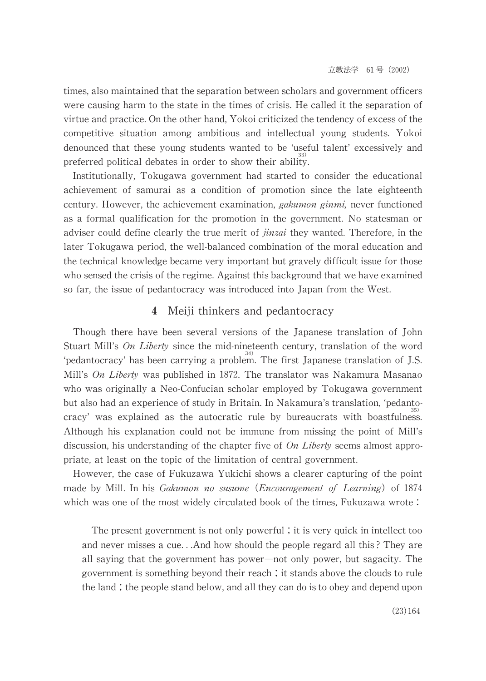times, also maintained that the separation between scholars and government officers were causing harm to the state in the times of crisis. He called it the separation of virtue and practice. On the other hand, Yokoi criticized the tendency of excess of the competitive situation among ambitious and intellectual young students. Yokoi denounced that these young students wanted to be 'useful talent' excessively and preferred political debates in order to show their ability.

Institutionally, Tokugawa government had started to consider the educational achievement of samurai as a condition of promotion since the late eighteenth century. However, the achievement examination, *gakumon ginmi*, never functioned as a formal qualification for the promotion in the government. No statesman or adviser could define clearly the true merit of  $\hat{j}$ *inzai* they wanted. Therefore, in the later Tokugawa period, the well-balanced combination of the moral education and the technical knowledge became very important but gravely difficult issue for those who sensed the crisis of the regime. Against this background that we have examined so far, the issue of pedantocracy was introduced into Japan from the West.

# 4 Meiji thinkers and pedantocracy

Though there have been several versions of the Japanese translation of John Stuart Mill's On Liberty since the mid-nineteenth century, translation of the word 'pedantocracy' has been carrying a problem. The first Japanese translation of J.S. Mill's On Liberty was published in 1872. The translator was Nakamura Masanao who was originally a Neo-Confucian scholar employed by Tokugawa government but also had an experience of study in Britain. In Nakamura's translation, 'pedantocracy' was explained as the autocratic rule by bureaucrats with boastfulness. Although his explanation could not be immune from missing the point of Mill's discussion, his understanding of the chapter five of  $On$  Liberty seems almost appropriate, at least on the topic of the limitation of central government.

However, the case of Fukuzawa Yukichi shows a clearer capturing of the point made by Mill. In his Gakumon no susume (Encouragement of Learning) of 1874 which was one of the most widely circulated book of the times, Fukuzawa wrote:

The present government is not only powerful; it is very quick in intellect too and never misses a cue...And how should the people regard all this? They are all saying that the government has power—not only power, but sagacity. The government is something beyond their reach; it stands above the clouds to rule the land; the people stand below, and all they can do is to obey and depend upon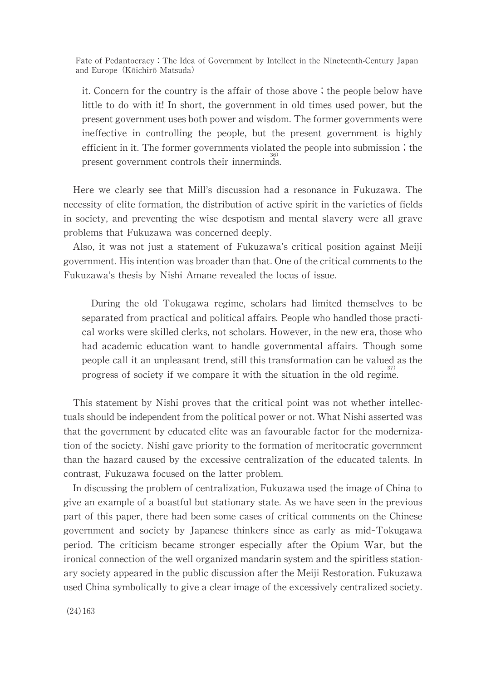it. Concern for the country is the affair of those above; the people below have little to do with it! In short, the government in old times used power, but the present government uses both power and wisdom. The former governments were ineffective in controlling the people, but the present government is highly efficient in it. The former governments violated the people into submission; the present government controls their innerminds.

Here we clearly see that Mill's discussion had a resonance in Fukuzawa. The necessity of elite formation, the distribution of active spirit in the varieties of fields in society, and preventing the wise despotism and mental slavery were all grave problems that Fukuzawa was concerned deeply.

Also, it was not just a statement of Fukuzawa's critical position against Meiji government. His intention was broader than that. One of the critical comments to the Fukuzawa's thesis by Nishi Amane revealed the locus of issue.

During the old Tokugawa regime, scholars had limited themselves to be separated from practical and political affairs. People who handled those practical works were skilled clerks, not scholars. However, in the new era, those who had academic education want to handle governmental affairs. Though some people call it an unpleasant trend, still this transformation can be valued as the progress of society if we compare it with the situation in the old regime.

This statement by Nishi proves that the critical point was not whether intellectuals should be independent from the political power or not. What Nishi asserted was that the government by educated elite was an favourable factor for the modernization of the society. Nishi gave priority to the formation of meritocratic government than the hazard caused by the excessive centralization of the educated talents. In contrast, Fukuzawa focused on the latter problem.

In discussing the problem of centralization, Fukuzawa used the image of China to give an example of a boastful but stationary state. As we have seen in the previous part of this paper, there had been some cases of critical comments on the Chinese government and society by Japanese thinkers since as early as mid-Tokugawa period. The criticism became stronger especially after the Opium War, but the ironical connection of the well organized mandarin system and the spiritless stationary society appeared in the public discussion after the Meiji Restoration. Fukuzawa used China symbolically to give a clear image of the excessively centralized society.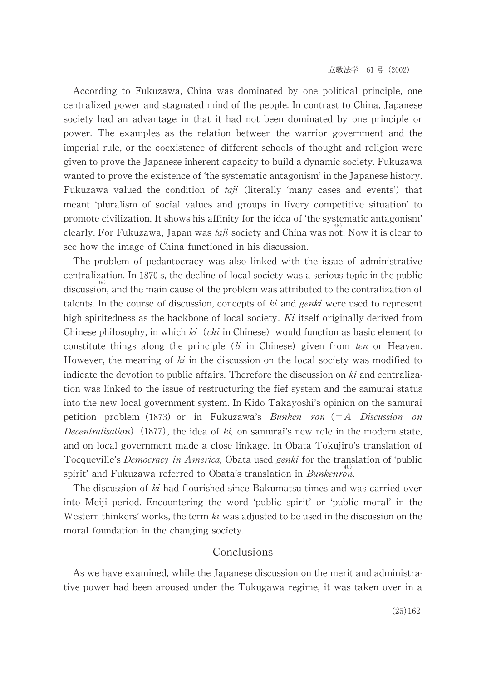According to Fukuzawa, China was dominated by one political principle, one centralized power and stagnated mind of the people. In contrast to China, Japanese society had an advantage in that it had not been dominated by one principle or power. The examples as the relation between the warrior government and the imperial rule, or the coexistence of different schools of thought and religion were given to prove the Japanese inherent capacity to build a dynamic society. Fukuzawa wanted to prove the existence of 'the systematic antagonism' in the Japanese history. Fukuzawa valued the condition of  $taj$  (literally 'many cases and events') that meant 'pluralism of social values and groups in livery competitive situation' to promote civilization. It shows his affinity for the idea of 'the systematic antagonism' clearly. For Fukuzawa, Japan was *taji* society and China was not. Now it is clear to see how the image of China functioned in his discussion.

The problem of pedantocracy was also linked with the issue of administrative centralization. In 1870 s, the decline of local society was a serious topic in the public discussion, and the main cause of the problem was attributed to the contralization of talents. In the course of discussion, concepts of  $ki$  and genki were used to represent high spiritedness as the backbone of local society.  $Ki$  itself originally derived from Chinese philosophy, in which  $ki$  (*chi* in Chinese) would function as basic element to constitute things along the principle ( $li$  in Chinese) given from ten or Heaven. However, the meaning of  $ki$  in the discussion on the local society was modified to indicate the devotion to public affairs. Therefore the discussion on  $ki$  and centralization was linked to the issue of restructuring the fief system and the samurai status into the new local government system. In Kido Takayoshi's opinion on the samurai petition problem (1873) or in Fukuzawa's Bunken ron  $(=A$  Discussion on Decentralisation) (1877), the idea of ki, on samurai's new role in the modern state, and on local government made a close linkage. In Obata Tokujirō's translation of Tocqueville's Democracy in America, Obata used genki for the translation of 'public spirit' and Fukuzawa referred to Obata's translation in *Bunkenron*.

The discussion of ki had flourished since Bakumatsu times and was carried over into Meiji period. Encountering the word 'public spirit' or 'public moral' in the Western thinkers' works, the term  $ki$  was adjusted to be used in the discussion on the moral foundation in the changing society.

# Conclusions

As we have examined, while the Japanese discussion on the merit and administrative power had been aroused under the Tokugawa regime, it was taken over in a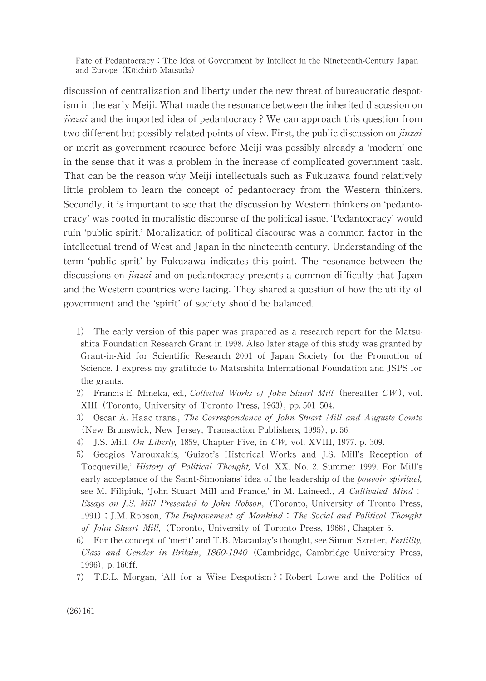discussion of centralization and liberty under the new threat of bureaucratic despotism in the early Meiji. What made the resonance between the inherited discussion on *jinzai* and the imported idea of pedantocracy? We can approach this question from two different but possibly related points of view. First, the public discussion on *jinzai* or merit as government resource before Meiji was possibly already a 'modern' one in the sense that it was a problem in the increase of complicated government task. That can be the reason why Meiji intellectuals such as Fukuzawa found relatively little problem to learn the concept of pedantocracy from the Western thinkers. Secondly, it is important to see that the discussion by Western thinkers on 'pedantocracy' was rooted in moralistic discourse of the political issue. 'Pedantocracy' would ruin 'public spirit.' Moralization of political discourse was a common factor in the intellectual trend of West and Japan in the nineteenth century. Understanding of the term 'public sprit' by Fukuzawa indicates this point. The resonance between the discussions on *jinzai* and on pedantocracy presents a common difficulty that Japan and the Western countries were facing. They shared a question of how the utility of government and the 'spirit' of society should be balanced.

- 1) The early version of this paper was prapared as a research report for the Matsushita Foundation Research Grant in 1998. Also later stage of this study was granted by Grant-in-Aid for Scientific Research 2001 of Japan Society for the Promotion of Science. I express my gratitude to Matsushita International Foundation and JSPS for the grants.
- 2) Francis E. Mineka, ed., Collected Works of John Stuart Mill (hereafter CW), vol. XIII (Toronto, University of Toronto Press, 1963), pp. 501-504.
- 3) Oscar A. Haac trans., The Correspondence of John Stuart Mill and Auguste Comte (New Brunswick, New Jersey, Transaction Publishers, 1995), p. 56.
- J.S. Mill, On Liberty, 1859, Chapter Five, in CW, vol. XVIII, 1977. p. 309.
- 5) Geogios Varouxakis, 'Guizot's Historical Works and J.S. Mill's Reception of Tocqueville,' History of Political Thought, Vol. XX. No. 2. Summer 1999. For Mill's early acceptance of the Saint-Simonians' idea of the leadership of the *pouvoir spirituel*, see M. Filipiuk, 'John Stuart Mill and France,' in M. Laineed., A Cultivated Mind: Essays on J.S. Mill Presented to John Robson, (Toronto, University of Tronto Press, 1991); J.M. Robson, The Improvement of Mankind: The Social and Political Thought of John Stuart Mill, (Toronto, University of Toronto Press, 1968), Chapter 5.
- 6) For the concept of 'merit' and T.B. Macaulay's thought, see Simon Szreter, Fertility, Class and Gender in Britain, 1860-1940 (Cambridge, Cambridge University Press, 1996), p. 160ff.
- 7) T.D.L. Morgan, 'All for a Wise Despotism?: Robert Lowe and the Politics of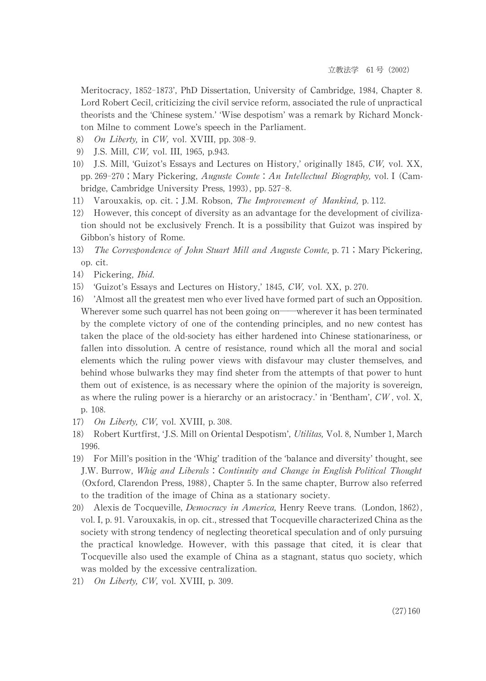Meritocracy, 1852-1873', PhD Dissertation, University of Cambridge, 1984, Chapter 8. Lord Robert Cecil, criticizing the civil service reform, associated the rule of unpractical theorists and the 'Chinese system.' 'Wise despotism' was a remark by Richard Monckton Milne to comment Lowe's speech in the Parliament.

- On Liberty, in CW, vol. XVIII, pp. 308-9. 8)
- 9) J.S. Mill, CW, vol. III, 1965, p.943.
- 10) J.S. Mill, 'Guizot's Essays and Lectures on History,' originally 1845, CW, vol. XX, pp. 269-270; Mary Pickering, Auguste Comte: An Intellectual Biography, vol. I (Cambridge, Cambridge University Press, 1993), pp. 527-8.
- 11) Varouxakis, op. cit.; J.M. Robson, The Improvement of Mankind, p. 112.
- $12)$ However, this concept of diversity as an advantage for the development of civilization should not be exclusively French. It is a possibility that Guizot was inspired by Gibbon's history of Rome.
- $13)$ The Correspondence of John Stuart Mill and Auguste Comte, p. 71; Mary Pickering, op. cit.
- 14) Pickering, *Ibid.*
- 'Guizot's Essays and Lectures on History,' 1845, CW, vol. XX, p. 270.  $15)$
- 'Almost all the greatest men who ever lived have formed part of such an Opposition. 16) Wherever some such quarrel has not been going on—wherever it has been terminated by the complete victory of one of the contending principles, and no new contest has taken the place of the old-society has either hardened into Chinese stationariness, or fallen into dissolution. A centre of resistance, round which all the moral and social elements which the ruling power views with disfavour may cluster themselves, and behind whose bulwarks they may find sheter from the attempts of that power to hunt them out of existence, is as necessary where the opinion of the majority is sovereign, as where the ruling power is a hierarchy or an aristocracy.' in 'Bentham',  $CW$ , vol. X, p. 108.
- 17) On Liberty, CW, vol. XVIII, p. 308.
- 18) Robert Kurtfirst, 'J.S. Mill on Oriental Despotism', Utilitas, Vol. 8, Number 1, March 1996.
- 19) For Mill's position in the 'Whig' tradition of the 'balance and diversity' thought, see J.W. Burrow, Whig and Liberals: Continuity and Change in English Political Thought (Oxford, Clarendon Press, 1988), Chapter 5. In the same chapter, Burrow also referred to the tradition of the image of China as a stationary society.
- 20) Alexis de Tocqueville, *Democracy in America*, Henry Reeve trans. (London, 1862), vol. I, p. 91. Varouxakis, in op. cit., stressed that Tocqueville characterized China as the society with strong tendency of neglecting theoretical speculation and of only pursuing the practical knowledge. However, with this passage that cited, it is clear that To cqueville also used the example of China as a stagnant, status quo society, which was molded by the excessive centralization.
- 21) On Liberty, CW, vol. XVIII, p. 309.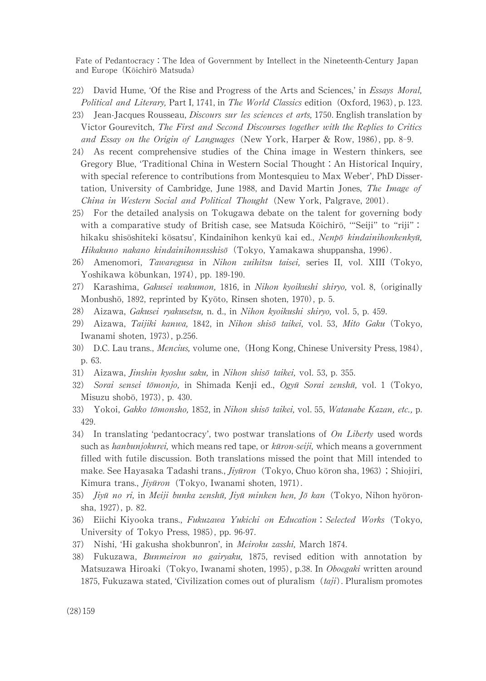- 22) David Hume, 'Of the Rise and Progress of the Arts and Sciences,' in *Essays Moral*, Political and Literary, Part I, 1741, in The World Classics edition (Oxford, 1963), p. 123.
- 23) Jean-Jacques Rousseau, *Discours sur les sciences et arts*, 1750. English translation by Victor Gourevitch, The First and Second Discourses together with the Replies to Critics and Essay on the Origin of Languages (New York, Harper & Row, 1986), pp. 8-9.
- 24) As recent comprehensive studies of the China image in Western thinkers, see Gregory Blue, 'Traditional China in Western Social Thought: An Historical Inquiry, with special reference to contributions from Montesquieu to Max Weber', PhD Dissertation, University of Cambridge, June 1988, and David Martin Jones, The Image of China in Western Social and Political Thought (New York, Palgrave, 2001).
- 25) For the detailed analysis on Tokugawa debate on the talent for governing body with a comparative study of British case, see Matsuda Kōichirō, "'Seiji" to "riji": hikaku shisōshiteki kōsatsu', Kindainihon kenkyū kai ed., Nenpō kindainihonkenkyū, Hikakuno nakano kindainihonnsshis $\bar{o}$  (Tokyo, Yamakawa shuppansha, 1996).
- 26) Amenomori, Tawaregusa in Nihon zuihitsu taisei, series II, vol. XIII (Tokyo, Yoshikawa kōbunkan, 1974), pp. 189-190.
- 27) Karashima, Gakusei wakumon, 1816, in Nihon kyoikushi shiryo, vol. 8, (originally Monbushō, 1892, reprinted by Kyōto, Rinsen shoten, 1970), p. 5.
- 28) Aizawa, Gakusei ryakusetsu, n. d., in Nihon kyoikushi shiryo, vol. 5, p. 459.
- 29) Aizawa, Taijiki kanwa, 1842, in Nihon shisō taikei, vol. 53, Mito Gaku (Tokyo, Iwanami shoten, 1973), p.256.
- 30) D.C. Lau trans., *Mencius*, volume one, (Hong Kong, Chinese University Press, 1984), p.63.
- 31) Aizawa, *Jinshin kyoshu saku*, in Nihon shisō taikei, vol. 53, p. 355.
- 32) Sorai sensei tōmonjo, in Shimada Kenji ed., Ogyū Sorai zenshū, vol. 1 (Tokyo, Misuzu shobō, 1973), p. 430.
- 33) Yokoi, Gakko tõmonsho, 1852, in Nihon shisõ taikei, vol. 55, Watanabe Kazan, etc., p. 429.
- 34) In translating 'pedantocracy', two postwar translations of  $On$  Liberty used words such as *hanbunjokurei*, which means red tape, or *kūron-seiji*, which means a government filled with futile discussion. Both translations missed the point that Mill intended to make. See Hayasaka Tadashi trans., *Jiyūron* (Tokyo, Chuo kōron sha, 1963); Shiojiri, Kimura trans., *Jiyūron* (Tokyo, Iwanami shoten, 1971).
- 35) *Jiyū no ri*, in *Meiji bunka zenshū, Jiyū minken hen, Jō kan* (Tokyo, Nihon hyōronsha, 1927), p. 82.
- 36) Eiichi Kiyooka trans., Fukuzawa Yukichi on Education: Selected Works (Tokyo, University of Tokyo Press, 1985), pp. 96-97.
- 37) Nishi, 'Hi gakusha shokbunron', in *Meiroku zasshi*, March 1874.
- 38) Fukuzawa, Bunmeiron no gairyaku, 1875, revised edition with annotation by Matsuzawa Hiroaki (Tokyo, Iwanami shoten, 1995), p.38. In Oboegaki written around 1875, Fukuzawa stated, 'Civilization comes out of pluralism  $(tai)$ . Pluralism promotes